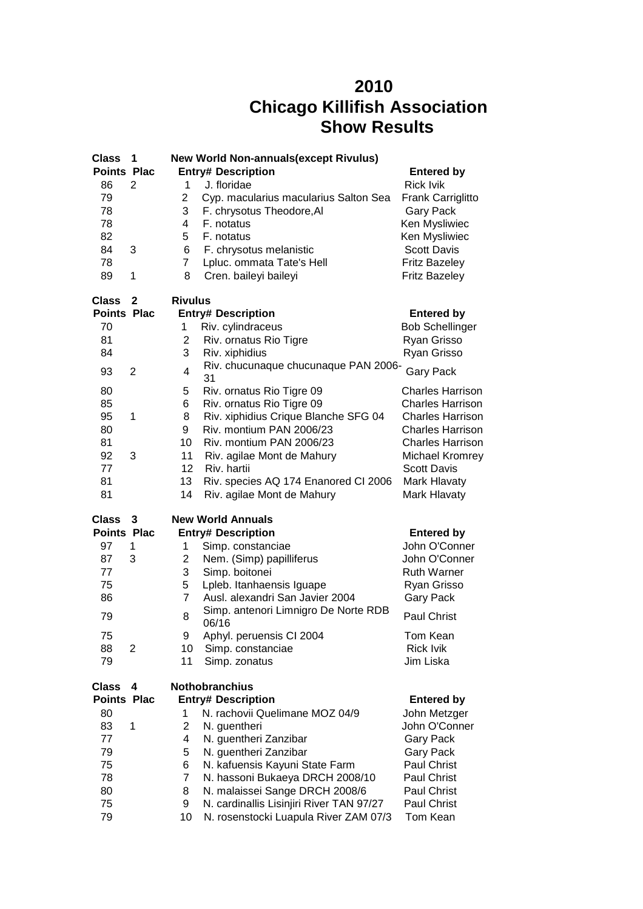## **Chicago Killifish Association Show Results**

| <b>Class</b>       | 1              |                | <b>New World Non-annuals (except Rivulus)</b> |                         |
|--------------------|----------------|----------------|-----------------------------------------------|-------------------------|
| <b>Points Plac</b> |                |                | <b>Entry# Description</b>                     | <b>Entered by</b>       |
| 86                 | 2              | 1              | J. floridae                                   | <b>Rick Ivik</b>        |
| 79                 |                | $\overline{c}$ | Cyp. macularius macularius Salton Sea         | Frank Carriglitto       |
| 78                 |                | 3              | F. chrysotus Theodore, AI                     | <b>Gary Pack</b>        |
| 78                 |                | 4              | F. notatus                                    |                         |
|                    |                |                |                                               | Ken Mysliwiec           |
| 82                 |                | 5              | F. notatus                                    | Ken Mysliwiec           |
| 84                 | 3              | 6              | F. chrysotus melanistic                       | <b>Scott Davis</b>      |
| 78                 |                | $\overline{7}$ | Lpluc. ommata Tate's Hell                     | <b>Fritz Bazeley</b>    |
| 89                 | 1              | 8              | Cren. baileyi baileyi                         | <b>Fritz Bazeley</b>    |
| <b>Class</b>       | 2              | <b>Rivulus</b> |                                               |                         |
| <b>Points Plac</b> |                |                | <b>Entry# Description</b>                     | <b>Entered by</b>       |
| 70                 |                | 1              | Riv. cylindraceus                             | <b>Bob Schellinger</b>  |
| 81                 |                | $\overline{2}$ | Riv. ornatus Rio Tigre                        | Ryan Grisso             |
| 84                 |                | 3              | Riv. xiphidius                                | Ryan Grisso             |
|                    |                |                | Riv. chucunaque chucunaque PAN 2006-          |                         |
| 93                 | $\overline{2}$ | 4              | 31                                            | <b>Gary Pack</b>        |
| 80                 |                | 5              | Riv. ornatus Rio Tigre 09                     | <b>Charles Harrison</b> |
| 85                 |                | 6              | Riv. ornatus Rio Tigre 09                     | <b>Charles Harrison</b> |
| 95                 | 1              | 8              | Riv. xiphidius Crique Blanche SFG 04          | <b>Charles Harrison</b> |
| 80                 |                | 9              | Riv. montium PAN 2006/23                      | <b>Charles Harrison</b> |
| 81                 |                | 10             | Riv. montium PAN 2006/23                      | <b>Charles Harrison</b> |
|                    |                | 11             |                                               |                         |
| 92                 | 3              |                | Riv. agilae Mont de Mahury                    | <b>Michael Kromrey</b>  |
| 77                 |                | 12             | Riv. hartii                                   | <b>Scott Davis</b>      |
| 81                 |                | 13             | Riv. species AQ 174 Enanored CI 2006          | Mark Hlavaty            |
| 81                 |                | 14             | Riv. agilae Mont de Mahury                    | Mark Hlavaty            |
| <b>Class</b>       | 3              |                | <b>New World Annuals</b>                      |                         |
| <b>Points Plac</b> |                |                | <b>Entry# Description</b>                     | <b>Entered by</b>       |
| 97                 | 1              | 1              | Simp. constanciae                             | John O'Conner           |
| 87                 | 3              | $\overline{2}$ | Nem. (Simp) papilliferus                      | John O'Conner           |
| 77                 |                | 3              | Simp. boitonei                                | <b>Ruth Warner</b>      |
| 75                 |                | 5              | Lpleb. Itanhaensis Iguape                     | Ryan Grisso             |
| 86                 |                | $\overline{7}$ | Ausl. alexandri San Javier 2004               | <b>Gary Pack</b>        |
|                    |                |                | Simp. antenori Limnigro De Norte RDB          |                         |
| 79                 |                | 8              | 06/16                                         | <b>Paul Christ</b>      |
| 75                 |                | 9              | Aphyl. peruensis CI 2004                      | Tom Kean                |
| 88                 | 2              | 10             | Simp. constanciae                             | <b>Rick Ivik</b>        |
| 79                 |                | 11             | Simp. zonatus                                 | Jim Liska               |
| <b>Class</b>       | 4              |                | <b>Nothobranchius</b>                         |                         |
| <b>Points Plac</b> |                |                | <b>Entry# Description</b>                     | <b>Entered by</b>       |
| 80                 |                | 1              | N. rachovii Quelimane MOZ 04/9                | John Metzger            |
| 83                 | 1              | $\overline{2}$ | N. guentheri                                  | John O'Conner           |
| 77                 |                | 4              |                                               | <b>Gary Pack</b>        |
|                    |                |                | N. guentheri Zanzibar                         |                         |
| 79                 |                | 5              | N. guentheri Zanzibar                         | <b>Gary Pack</b>        |
| 75                 |                | 6              | N. kafuensis Kayuni State Farm                | Paul Christ             |
| 78                 |                | 7              | N. hassoni Bukaeya DRCH 2008/10               | Paul Christ             |
| 80                 |                | 8              | N. malaissei Sange DRCH 2008/6                | Paul Christ             |
| 75                 |                | 9              | N. cardinallis Lisinjiri River TAN 97/27      | Paul Christ             |
| 79                 |                | 10             | N. rosenstocki Luapula River ZAM 07/3         | Tom Kean                |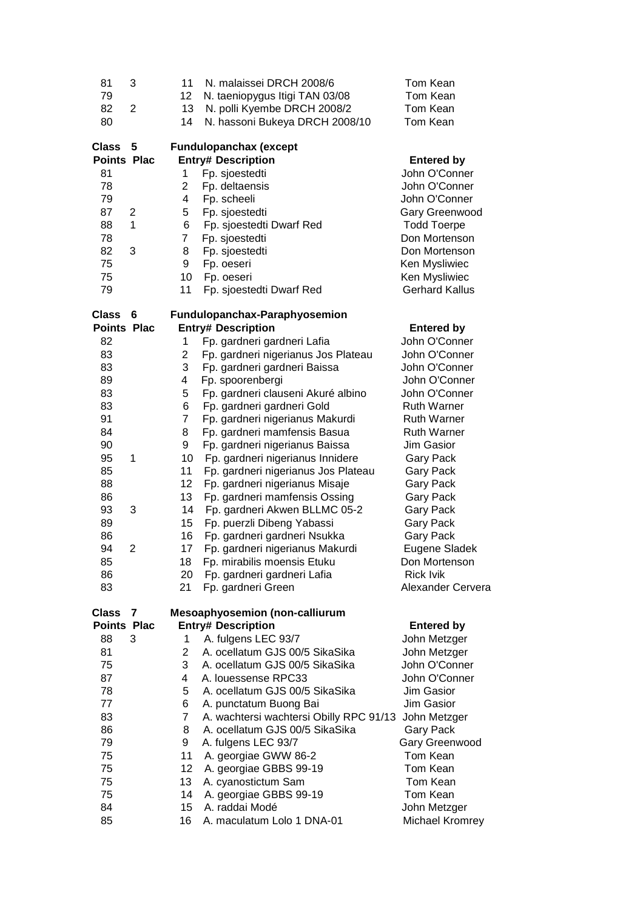| 81                                 | 3              | 11             | N. malaissei DRCH 2008/6                                           | Tom Kean                 |
|------------------------------------|----------------|----------------|--------------------------------------------------------------------|--------------------------|
| 79                                 |                | 12             | N. taeniopygus Itigi TAN 03/08                                     | Tom Kean                 |
| 82                                 | $\overline{2}$ | 13             | N. polli Kyembe DRCH 2008/2                                        | Tom Kean                 |
| 80                                 |                | 14             | N. hassoni Bukeya DRCH 2008/10                                     | Tom Kean                 |
| <b>Class</b>                       | 5              |                | <b>Fundulopanchax (except</b>                                      |                          |
| <b>Points Plac</b>                 |                |                | <b>Entry# Description</b>                                          | <b>Entered by</b>        |
| 81                                 |                | 1              | Fp. sjoestedti                                                     | John O'Conner            |
| 78                                 |                | 2              | Fp. deltaensis                                                     | John O'Conner            |
| 79                                 |                | 4              | Fp. scheeli                                                        | John O'Conner            |
| 87                                 | 2              | 5              | Fp. sjoestedti                                                     | Gary Greenwood           |
| 88                                 | 1              | 6              | Fp. sjoestedti Dwarf Red                                           | <b>Todd Toerpe</b>       |
| 78                                 |                | $\overline{7}$ | Fp. sjoestedti                                                     | Don Mortenson            |
| 82                                 | 3              | 8              | Fp. sjoestedti                                                     | Don Mortenson            |
| 75                                 |                | 9              | Fp. oeseri                                                         | Ken Mysliwiec            |
| 75                                 |                | 10             | Fp. oeseri                                                         | Ken Mysliwiec            |
| 79                                 |                | 11             | Fp. sjoestedti Dwarf Red                                           | <b>Gerhard Kallus</b>    |
| <b>Class</b>                       | 6              |                | Fundulopanchax-Paraphyosemion                                      |                          |
| <b>Points Plac</b>                 |                |                | <b>Entry# Description</b>                                          | <b>Entered by</b>        |
| 82                                 |                | 1              | Fp. gardneri gardneri Lafia                                        | John O'Conner            |
| 83                                 |                | $\overline{2}$ | Fp. gardneri nigerianus Jos Plateau                                | John O'Conner            |
| 83                                 |                | 3              | Fp. gardneri gardneri Baissa                                       | John O'Conner            |
| 89                                 |                | 4              | Fp. spoorenbergi                                                   | John O'Conner            |
| 83                                 |                | 5              | Fp. gardneri clauseni Akuré albino                                 | John O'Conner            |
| 83                                 |                | 6              | Fp. gardneri gardneri Gold                                         | <b>Ruth Warner</b>       |
| 91                                 |                | $\overline{7}$ | Fp. gardneri nigerianus Makurdi                                    | <b>Ruth Warner</b>       |
| 84                                 |                | 8              | Fp. gardneri mamfensis Basua                                       | <b>Ruth Warner</b>       |
| 90                                 |                | 9              | Fp. gardneri nigerianus Baissa                                     | Jim Gasior               |
| 95                                 | 1              | 10             | Fp. gardneri nigerianus Innidere                                   | <b>Gary Pack</b>         |
| 85                                 |                | 11             | Fp. gardneri nigerianus Jos Plateau                                | <b>Gary Pack</b>         |
| 88                                 |                | 12             | Fp. gardneri nigerianus Misaje                                     | <b>Gary Pack</b>         |
| 86                                 |                | 13             | Fp. gardneri mamfensis Ossing                                      | <b>Gary Pack</b>         |
| 93                                 | 3              | 14             | Fp. gardneri Akwen BLLMC 05-2                                      | <b>Gary Pack</b>         |
| 89                                 |                | 15             | Fp. puerzli Dibeng Yabassi                                         | <b>Gary Pack</b>         |
| 86                                 |                | 16             | Fp. gardneri gardneri Nsukka                                       | <b>Gary Pack</b>         |
| 94                                 | $\overline{2}$ | 17             | Fp. gardneri nigerianus Makurdi                                    | Eugene Sladek            |
| 85                                 |                | 18             | Fp. mirabilis moensis Etuku                                        | Don Mortenson            |
| 86                                 |                | 20             | Fp. gardneri gardneri Lafia                                        | <b>Rick Ivik</b>         |
| 83                                 |                | 21             | Fp. gardneri Green                                                 | <b>Alexander Cervera</b> |
|                                    |                |                |                                                                    |                          |
| <b>Class</b><br><b>Points Plac</b> | 7              |                | <b>Mesoaphyosemion (non-calliurum</b><br><b>Entry# Description</b> | <b>Entered by</b>        |
| 88                                 | 3              | 1              | A. fulgens LEC 93/7                                                | John Metzger             |
| 81                                 |                | $\overline{2}$ | A. ocellatum GJS 00/5 SikaSika                                     | John Metzger             |
| 75                                 |                | 3              | A. ocellatum GJS 00/5 SikaSika                                     | John O'Conner            |
| 87                                 |                | 4              | A. louessense RPC33                                                | John O'Conner            |
| 78                                 |                | 5              | A. ocellatum GJS 00/5 SikaSika                                     | Jim Gasior               |
| 77                                 |                | 6              | A. punctatum Buong Bai                                             | Jim Gasior               |
| 83                                 |                | $\overline{7}$ | A. wachtersi wachtersi Obilly RPC 91/13                            | John Metzger             |
| 86                                 |                | 8              | A. ocellatum GJS 00/5 SikaSika                                     |                          |
| 79                                 |                | 9              |                                                                    | <b>Gary Pack</b>         |
|                                    |                |                | A. fulgens LEC 93/7                                                | Gary Greenwood           |
| 75                                 |                | 11             | A. georgiae GWW 86-2                                               | Tom Kean                 |
| 75                                 |                | 12             | A. georgiae GBBS 99-19                                             | Tom Kean                 |
| 75                                 |                | 13             | A. cyanostictum Sam                                                | Tom Kean                 |
| 75                                 |                | 14             | A. georgiae GBBS 99-19                                             | Tom Kean                 |
| 84                                 |                | 15             | A. raddai Modé                                                     | John Metzger             |
| 85                                 |                | 16             | A. maculatum Lolo 1 DNA-01                                         | Michael Kromrey          |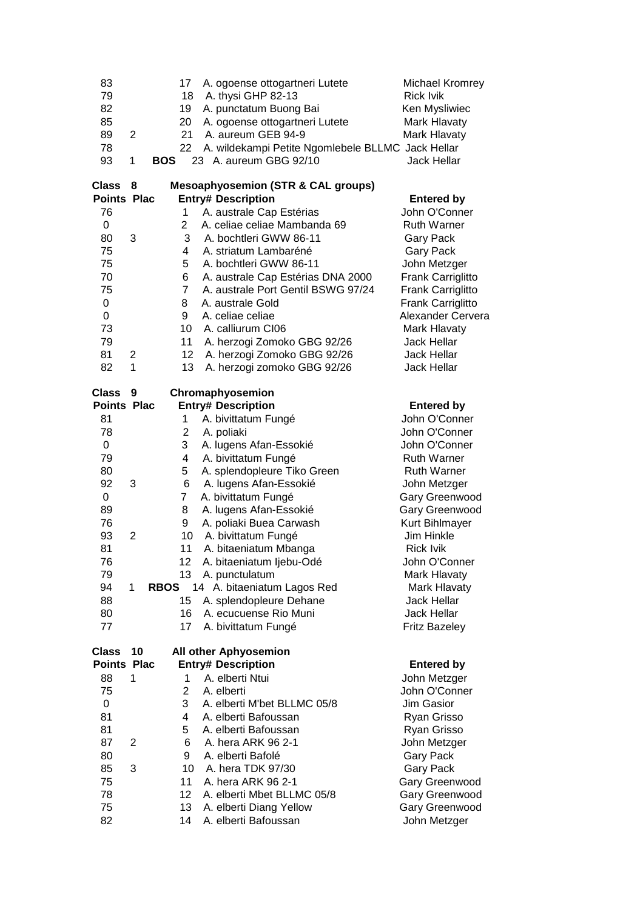| 83<br>79<br>82<br>85<br>89<br>78<br>93 | $\overline{2}$<br>1 | <b>BOS</b>  | 17<br>18<br>19<br>20<br>21<br>22 | A. ogoense ottogartneri Lutete<br>A. thysi GHP 82-13<br>A. punctatum Buong Bai<br>A. ogoense ottogartneri Lutete<br>A. aureum GEB 94-9<br>A. wildekampi Petite Ngomlebele BLLMC Jack Hellar<br>23 A. aureum GBG 92/10 | <b>Michael Kromrey</b><br><b>Rick Ivik</b><br>Ken Mysliwiec<br>Mark Hlavaty<br>Mark Hlavaty<br><b>Jack Hellar</b> |
|----------------------------------------|---------------------|-------------|----------------------------------|-----------------------------------------------------------------------------------------------------------------------------------------------------------------------------------------------------------------------|-------------------------------------------------------------------------------------------------------------------|
| Class<br><b>Points Plac</b>            | 8                   |             |                                  | <b>Mesoaphyosemion (STR &amp; CAL groups)</b><br><b>Entry# Description</b>                                                                                                                                            | <b>Entered by</b>                                                                                                 |
| 76                                     |                     |             | 1                                | A. australe Cap Estérias                                                                                                                                                                                              | John O'Conner                                                                                                     |
| 0                                      |                     |             | $\overline{2}$                   | A. celiae celiae Mambanda 69                                                                                                                                                                                          | <b>Ruth Warner</b>                                                                                                |
| 80                                     | 3                   |             | 3                                | A. bochtleri GWW 86-11                                                                                                                                                                                                | <b>Gary Pack</b>                                                                                                  |
| 75                                     |                     |             | 4                                | A. striatum Lambaréné                                                                                                                                                                                                 | <b>Gary Pack</b>                                                                                                  |
| 75                                     |                     |             | 5                                | A. bochtleri GWW 86-11                                                                                                                                                                                                | John Metzger                                                                                                      |
| 70                                     |                     |             | 6                                | A. australe Cap Estérias DNA 2000                                                                                                                                                                                     | Frank Carriglitto                                                                                                 |
| 75                                     |                     |             | $\overline{7}$                   | A. australe Port Gentil BSWG 97/24                                                                                                                                                                                    | Frank Carriglitto                                                                                                 |
| 0                                      |                     |             | 8                                | A. australe Gold                                                                                                                                                                                                      | Frank Carriglitto                                                                                                 |
| 0                                      |                     |             | 9                                | A. celiae celiae                                                                                                                                                                                                      | Alexander Cervera                                                                                                 |
| 73                                     |                     |             | 10                               | A. calliurum CI06                                                                                                                                                                                                     | Mark Hlavaty                                                                                                      |
| 79                                     |                     |             | 11                               | A. herzogi Zomoko GBG 92/26                                                                                                                                                                                           | <b>Jack Hellar</b>                                                                                                |
| 81                                     | $\overline{2}$      |             | 12                               | A. herzogi Zomoko GBG 92/26                                                                                                                                                                                           | <b>Jack Hellar</b>                                                                                                |
| 82                                     | $\mathbf{1}$        |             | 13                               | A. herzogi zomoko GBG 92/26                                                                                                                                                                                           | <b>Jack Hellar</b>                                                                                                |
| Class                                  | 9                   |             |                                  | Chromaphyosemion                                                                                                                                                                                                      |                                                                                                                   |
| <b>Points Plac</b>                     |                     |             |                                  | <b>Entry# Description</b>                                                                                                                                                                                             | <b>Entered by</b>                                                                                                 |
| 81                                     |                     |             | 1                                | A. bivittatum Fungé                                                                                                                                                                                                   | John O'Conner                                                                                                     |
| 78                                     |                     |             | $\overline{2}$                   | A. poliaki                                                                                                                                                                                                            | John O'Conner                                                                                                     |
| 0                                      |                     |             | 3                                | A. lugens Afan-Essokié                                                                                                                                                                                                | John O'Conner                                                                                                     |
| 79                                     |                     |             | 4                                | A. bivittatum Fungé                                                                                                                                                                                                   | <b>Ruth Warner</b>                                                                                                |
| 80                                     |                     |             | 5                                | A. splendopleure Tiko Green                                                                                                                                                                                           | <b>Ruth Warner</b>                                                                                                |
| 92                                     | 3                   |             | 6                                | A. lugens Afan-Essokié                                                                                                                                                                                                | John Metzger                                                                                                      |
| 0                                      |                     | 7           |                                  | A. bivittatum Fungé                                                                                                                                                                                                   | Gary Greenwood                                                                                                    |
| 89                                     |                     |             | 8                                | A. lugens Afan-Essokié                                                                                                                                                                                                | Gary Greenwood                                                                                                    |
| 76                                     |                     |             | 9                                | A. poliaki Buea Carwash                                                                                                                                                                                               | Kurt Bihlmayer                                                                                                    |
| 93                                     | 2                   |             | 10                               | A. bivittatum Fungé                                                                                                                                                                                                   | Jim Hinkle                                                                                                        |
| 81                                     |                     |             | 11                               | A. bitaeniatum Mbanga                                                                                                                                                                                                 | <b>Rick Ivik</b>                                                                                                  |
| 76                                     |                     |             | 12                               | A. bitaeniatum ljebu-Odé                                                                                                                                                                                              | John O'Conner                                                                                                     |
| 79                                     |                     |             | 13                               | A. punctulatum                                                                                                                                                                                                        | Mark Hlavaty                                                                                                      |
| 94                                     | 1                   | <b>RBOS</b> |                                  | 14 A. bitaeniatum Lagos Red                                                                                                                                                                                           | Mark Hlavaty                                                                                                      |
| 88                                     |                     |             | 15                               | A. splendopleure Dehane                                                                                                                                                                                               | <b>Jack Hellar</b>                                                                                                |
| 80<br>77                               |                     |             | 16<br>17                         | A. ecucuense Rio Muni<br>A. bivittatum Fungé                                                                                                                                                                          | Jack Hellar<br><b>Fritz Bazeley</b>                                                                               |
|                                        |                     |             |                                  |                                                                                                                                                                                                                       |                                                                                                                   |
| Class                                  | 10                  |             |                                  | All other Aphyosemion                                                                                                                                                                                                 |                                                                                                                   |
| <b>Points Plac</b>                     |                     |             |                                  | <b>Entry# Description</b>                                                                                                                                                                                             | <b>Entered by</b>                                                                                                 |
| 88                                     | 1                   |             | 1                                | A. elberti Ntui                                                                                                                                                                                                       | John Metzger                                                                                                      |
| 75                                     |                     |             | $\overline{2}$                   | A. elberti                                                                                                                                                                                                            | John O'Conner                                                                                                     |
| 0                                      |                     |             | 3                                | A. elberti M'bet BLLMC 05/8                                                                                                                                                                                           | Jim Gasior                                                                                                        |
| 81                                     |                     |             | 4                                | A. elberti Bafoussan                                                                                                                                                                                                  | Ryan Grisso                                                                                                       |
| 81                                     |                     |             | 5                                | A. elberti Bafoussan                                                                                                                                                                                                  | Ryan Grisso                                                                                                       |
| 87                                     | 2                   |             | 6                                | A. hera ARK 96 2-1                                                                                                                                                                                                    | John Metzger                                                                                                      |
| 80                                     |                     |             | 9                                | A. elberti Bafolé                                                                                                                                                                                                     | <b>Gary Pack</b>                                                                                                  |
| 85                                     | 3                   |             | 10<br>11                         | A. hera TDK 97/30<br>A. hera ARK 96 2-1                                                                                                                                                                               | <b>Gary Pack</b>                                                                                                  |
| 75<br>78                               |                     |             | 12                               | A. elberti Mbet BLLMC 05/8                                                                                                                                                                                            | Gary Greenwood<br>Gary Greenwood                                                                                  |
| 75                                     |                     |             | 13                               | A. elberti Diang Yellow                                                                                                                                                                                               | Gary Greenwood                                                                                                    |
| 82                                     |                     |             | 14                               | A. elberti Bafoussan                                                                                                                                                                                                  | John Metzger                                                                                                      |
|                                        |                     |             |                                  |                                                                                                                                                                                                                       |                                                                                                                   |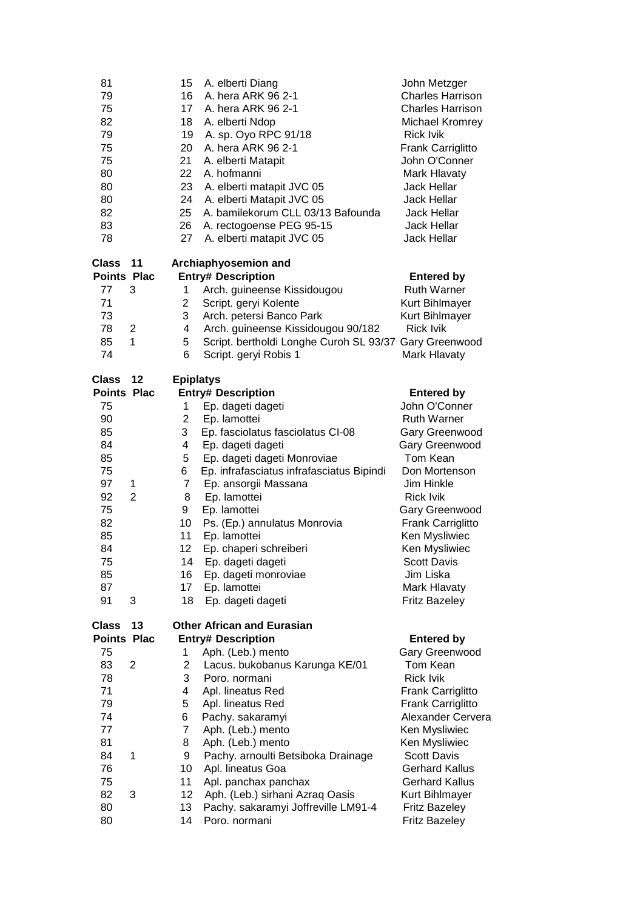| 81<br>79<br>75<br>82<br>79<br>75<br>75<br>80<br>80<br>80<br>82<br>83<br>78 |                | 15<br>16<br>17<br>18<br>19<br>20<br>21<br>22<br>23<br>24<br>25<br>26<br>27 | A. elberti Diang<br>A. hera ARK 96 2-1<br>A. hera ARK 96 2-1<br>A. elberti Ndop<br>A. sp. Oyo RPC 91/18<br>A. hera ARK 96 2-1<br>A. elberti Matapit<br>A. hofmanni<br>A. elberti matapit JVC 05<br>A. elberti Matapit JVC 05<br>A. bamilekorum CLL 03/13 Bafounda<br>A. rectogoense PEG 95-15<br>A. elberti matapit JVC 05 | John Metzger<br><b>Charles Harrison</b><br><b>Charles Harrison</b><br>Michael Kromrey<br><b>Rick Ivik</b><br>Frank Carriglitto<br>John O'Conner<br>Mark Hlavaty<br><b>Jack Hellar</b><br>Jack Hellar<br><b>Jack Hellar</b><br>Jack Hellar<br><b>Jack Hellar</b> |
|----------------------------------------------------------------------------|----------------|----------------------------------------------------------------------------|----------------------------------------------------------------------------------------------------------------------------------------------------------------------------------------------------------------------------------------------------------------------------------------------------------------------------|-----------------------------------------------------------------------------------------------------------------------------------------------------------------------------------------------------------------------------------------------------------------|
| Class                                                                      | 11             |                                                                            | Archiaphyosemion and                                                                                                                                                                                                                                                                                                       |                                                                                                                                                                                                                                                                 |
| <b>Points Plac</b>                                                         |                |                                                                            | <b>Entry# Description</b>                                                                                                                                                                                                                                                                                                  | <b>Entered by</b>                                                                                                                                                                                                                                               |
| 77                                                                         | 3              | 1                                                                          | Arch. guineense Kissidougou                                                                                                                                                                                                                                                                                                | <b>Ruth Warner</b>                                                                                                                                                                                                                                              |
| 71                                                                         |                | 2                                                                          | Script. geryi Kolente                                                                                                                                                                                                                                                                                                      | Kurt Bihlmayer                                                                                                                                                                                                                                                  |
| 73                                                                         |                | 3                                                                          | Arch. petersi Banco Park                                                                                                                                                                                                                                                                                                   | Kurt Bihlmayer                                                                                                                                                                                                                                                  |
| 78                                                                         | 2              | 4                                                                          | Arch. guineense Kissidougou 90/182                                                                                                                                                                                                                                                                                         | <b>Rick Ivik</b>                                                                                                                                                                                                                                                |
| 85                                                                         | 1              | 5                                                                          | Script. bertholdi Longhe Curoh SL 93/37                                                                                                                                                                                                                                                                                    | Gary Greenwood                                                                                                                                                                                                                                                  |
| 74                                                                         |                | 6                                                                          | Script. geryi Robis 1                                                                                                                                                                                                                                                                                                      | Mark Hlavaty                                                                                                                                                                                                                                                    |
| Class                                                                      | 12             | <b>Epiplatys</b>                                                           |                                                                                                                                                                                                                                                                                                                            |                                                                                                                                                                                                                                                                 |
| <b>Points Plac</b>                                                         |                |                                                                            | <b>Entry# Description</b>                                                                                                                                                                                                                                                                                                  | <b>Entered by</b>                                                                                                                                                                                                                                               |
| 75                                                                         |                | 1                                                                          | Ep. dageti dageti                                                                                                                                                                                                                                                                                                          | John O'Conner                                                                                                                                                                                                                                                   |
| 90                                                                         |                | $\overline{2}$                                                             | Ep. lamottei                                                                                                                                                                                                                                                                                                               | <b>Ruth Warner</b>                                                                                                                                                                                                                                              |
| 85                                                                         |                | 3                                                                          | Ep. fasciolatus fasciolatus CI-08                                                                                                                                                                                                                                                                                          | Gary Greenwood                                                                                                                                                                                                                                                  |
| 84                                                                         |                | 4<br>5                                                                     | Ep. dageti dageti                                                                                                                                                                                                                                                                                                          | Gary Greenwood                                                                                                                                                                                                                                                  |
| 85<br>75                                                                   |                | 6                                                                          | Ep. dageti dageti Monroviae                                                                                                                                                                                                                                                                                                | Tom Kean                                                                                                                                                                                                                                                        |
| 97                                                                         | 1              | $\overline{7}$                                                             | Ep. infrafasciatus infrafasciatus Bipindi<br>Ep. ansorgii Massana                                                                                                                                                                                                                                                          | Don Mortenson<br>Jim Hinkle                                                                                                                                                                                                                                     |
| 92                                                                         | $\overline{2}$ | 8                                                                          | Ep. lamottei                                                                                                                                                                                                                                                                                                               | <b>Rick Ivik</b>                                                                                                                                                                                                                                                |
| 75                                                                         |                | 9                                                                          | Ep. lamottei                                                                                                                                                                                                                                                                                                               | Gary Greenwood                                                                                                                                                                                                                                                  |
| 82                                                                         |                | 10                                                                         | Ps. (Ep.) annulatus Monrovia                                                                                                                                                                                                                                                                                               | Frank Carriglitto                                                                                                                                                                                                                                               |
| 85                                                                         |                | 11                                                                         | Ep. lamottei                                                                                                                                                                                                                                                                                                               | Ken Mysliwiec                                                                                                                                                                                                                                                   |
| 84                                                                         |                | 12                                                                         | Ep. chaperi schreiberi                                                                                                                                                                                                                                                                                                     | Ken Mysliwiec                                                                                                                                                                                                                                                   |
| 75                                                                         |                | 14                                                                         | Ep. dageti dageti                                                                                                                                                                                                                                                                                                          | <b>Scott Davis</b>                                                                                                                                                                                                                                              |
| 85                                                                         |                | 16                                                                         | Ep. dageti monroviae                                                                                                                                                                                                                                                                                                       | Jim Liska                                                                                                                                                                                                                                                       |
| 87                                                                         |                | 17                                                                         | Ep. lamottei                                                                                                                                                                                                                                                                                                               | Mark Hlavaty                                                                                                                                                                                                                                                    |
| 91                                                                         | 3              | 18                                                                         | Ep. dageti dageti                                                                                                                                                                                                                                                                                                          | <b>Fritz Bazeley</b>                                                                                                                                                                                                                                            |
| Class                                                                      | 13             |                                                                            | <b>Other African and Eurasian</b>                                                                                                                                                                                                                                                                                          |                                                                                                                                                                                                                                                                 |
| <b>Points Plac</b>                                                         |                |                                                                            | <b>Entry# Description</b>                                                                                                                                                                                                                                                                                                  | <b>Entered by</b>                                                                                                                                                                                                                                               |
| 75                                                                         |                | 1                                                                          | Aph. (Leb.) mento                                                                                                                                                                                                                                                                                                          | Gary Greenwood                                                                                                                                                                                                                                                  |
| 83                                                                         | 2              | 2                                                                          | Lacus. bukobanus Karunga KE/01                                                                                                                                                                                                                                                                                             | Tom Kean                                                                                                                                                                                                                                                        |
| 78                                                                         |                | 3                                                                          | Poro, normani                                                                                                                                                                                                                                                                                                              | <b>Rick Ivik</b>                                                                                                                                                                                                                                                |
| 71                                                                         |                | 4                                                                          | Apl. lineatus Red                                                                                                                                                                                                                                                                                                          | Frank Carriglitto                                                                                                                                                                                                                                               |
| 79                                                                         |                | 5                                                                          | Apl. lineatus Red                                                                                                                                                                                                                                                                                                          | Frank Carriglitto                                                                                                                                                                                                                                               |
| 74                                                                         |                | 6                                                                          | Pachy. sakaramyi                                                                                                                                                                                                                                                                                                           | <b>Alexander Cervera</b>                                                                                                                                                                                                                                        |
| 77                                                                         |                | $\overline{7}$                                                             | Aph. (Leb.) mento                                                                                                                                                                                                                                                                                                          | Ken Mysliwiec                                                                                                                                                                                                                                                   |
| 81                                                                         |                | 8                                                                          | Aph. (Leb.) mento                                                                                                                                                                                                                                                                                                          | Ken Mysliwiec                                                                                                                                                                                                                                                   |
| 84                                                                         | 1              | 9                                                                          | Pachy. arnoulti Betsiboka Drainage                                                                                                                                                                                                                                                                                         | <b>Scott Davis</b>                                                                                                                                                                                                                                              |
| 76                                                                         |                | 10                                                                         | Apl. lineatus Goa                                                                                                                                                                                                                                                                                                          | <b>Gerhard Kallus</b>                                                                                                                                                                                                                                           |
| 75                                                                         |                | 11                                                                         | Apl. panchax panchax                                                                                                                                                                                                                                                                                                       | <b>Gerhard Kallus</b>                                                                                                                                                                                                                                           |
| 82                                                                         | 3              | 12                                                                         | Aph. (Leb.) sirhani Azraq Oasis                                                                                                                                                                                                                                                                                            | Kurt Bihlmayer                                                                                                                                                                                                                                                  |
| 80                                                                         |                | 13                                                                         | Pachy. sakaramyi Joffreville LM91-4                                                                                                                                                                                                                                                                                        | <b>Fritz Bazeley</b>                                                                                                                                                                                                                                            |
| 80                                                                         |                | 14                                                                         | Poro. normani                                                                                                                                                                                                                                                                                                              | <b>Fritz Bazeley</b>                                                                                                                                                                                                                                            |